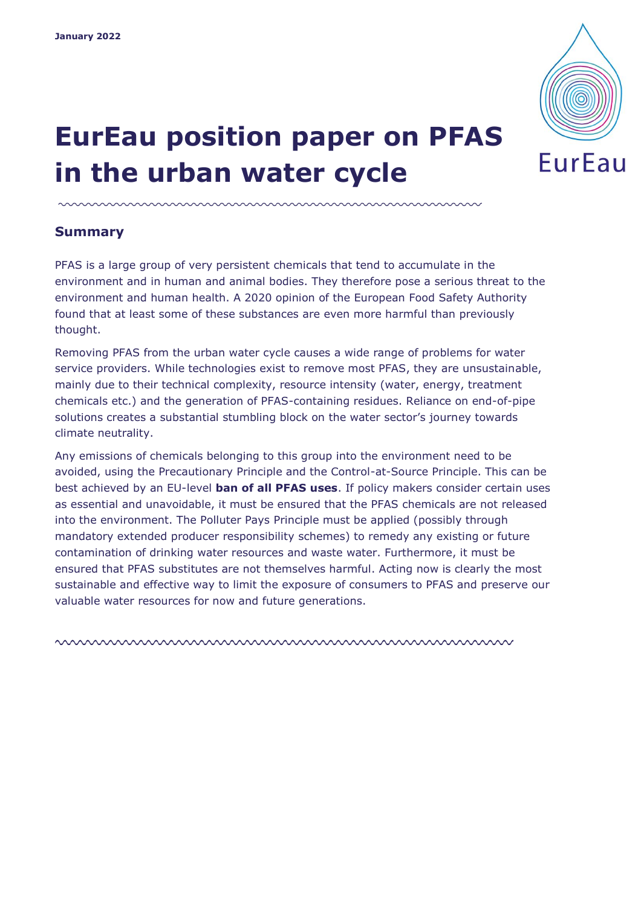

# **EurEau position paper on PFAS in the urban water cycle**

#### **Summary**

PFAS is a large group of very persistent chemicals that tend to accumulate in the environment and in human and animal bodies. They therefore pose a serious threat to the environment and human health. A 2020 opinion of the European Food Safety Authority found that at least some of these substances are even more harmful than previously thought.

Removing PFAS from the urban water cycle causes a wide range of problems for water service providers. While technologies exist to remove most PFAS, they are unsustainable, mainly due to their technical complexity, resource intensity (water, energy, treatment chemicals etc.) and the generation of PFAS-containing residues. Reliance on end-of-pipe solutions creates a substantial stumbling block on the water sector's journey towards climate neutrality.

Any emissions of chemicals belonging to this group into the environment need to be avoided, using the Precautionary Principle and the Control-at-Source Principle. This can be best achieved by an EU-level **ban of all PFAS uses**. If policy makers consider certain uses as essential and unavoidable, it must be ensured that the PFAS chemicals are not released into the environment. The Polluter Pays Principle must be applied (possibly through mandatory extended producer responsibility schemes) to remedy any existing or future contamination of drinking water resources and waste water. Furthermore, it must be ensured that PFAS substitutes are not themselves harmful. Acting now is clearly the most sustainable and effective way to limit the exposure of consumers to PFAS and preserve our valuable water resources for now and future generations.

nnnnnnnnnnnnnnnnnnnnnnnnnnnnnnnnnn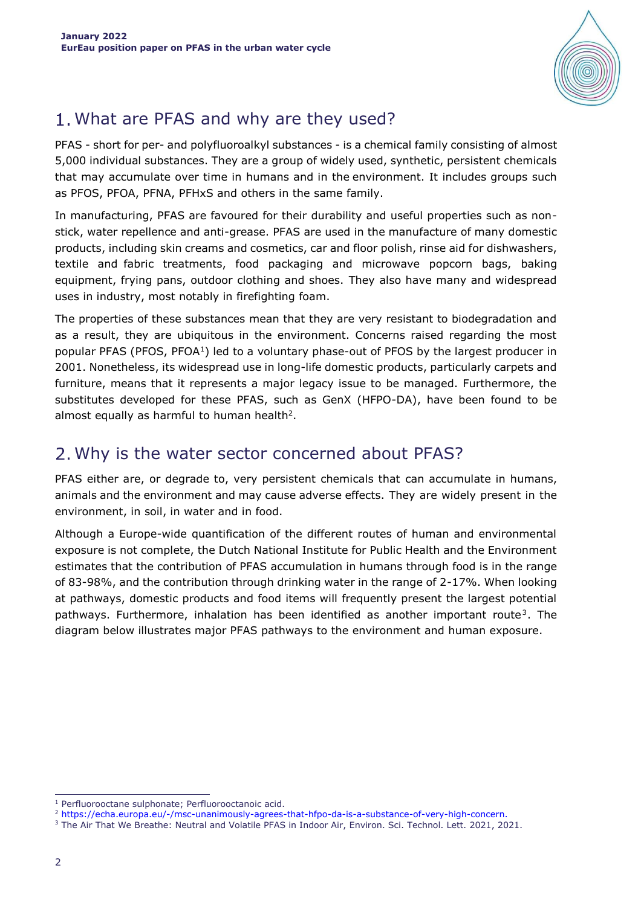

# What are PFAS and why are they used?

PFAS - short for per- and polyfluoroalkyl substances - is a chemical family consisting of almost 5,000 individual substances. They are a group of widely used, synthetic, persistent chemicals that may accumulate over time in humans and in the environment. It includes groups such as PFOS, PFOA, PFNA, PFHxS and others in the same family.

In manufacturing, PFAS are favoured for their durability and useful properties such as nonstick, water repellence and anti-grease. PFAS are used in the manufacture of many domestic products, including skin creams and cosmetics, car and floor polish, rinse aid for dishwashers, textile and fabric treatments, food packaging and microwave popcorn bags, baking equipment, frying pans, outdoor clothing and shoes. They also have many and widespread uses in industry, most notably in firefighting foam.

The properties of these substances mean that they are very resistant to biodegradation and as a result, they are ubiquitous in the environment. Concerns raised regarding the most popular PFAS (PFOS, PFOA<sup>1</sup>) led to a voluntary phase-out of PFOS by the largest producer in 2001. Nonetheless, its widespread use in long-life domestic products, particularly carpets and furniture, means that it represents a major legacy issue to be managed. Furthermore, the substitutes developed for these PFAS, such as GenX (HFPO-DA), have been found to be almost equally as harmful to human health<sup>2</sup>.

## 2. Why is the water sector concerned about PFAS?

PFAS either are, or degrade to, very persistent chemicals that can accumulate in humans, animals and the environment and may cause adverse effects. They are widely present in the environment, in soil, in water and in food.

Although a Europe-wide quantification of the different routes of human and environmental exposure is not complete, the Dutch National Institute for Public Health and the Environment estimates that the contribution of PFAS accumulation in humans through food is in the range of 83-98%, and the contribution through drinking water in the range of 2-17%. When looking at pathways, domestic products and food items will frequently present the largest potential pathways. Furthermore, inhalation has been identified as another important route<sup>3</sup>. The diagram below illustrates major PFAS pathways to the environment and human exposure.

ł <sup>1</sup> Perfluorooctane sulphonate; Perfluorooctanoic acid.

<sup>2</sup> [https://echa.europa.eu/-/msc-unanimously-agrees-that-hfpo-da-is-a-substance-of-very-high-concern.](https://echa.europa.eu/-/msc-unanimously-agrees-that-hfpo-da-is-a-substance-of-very-high-concern)

<sup>&</sup>lt;sup>3</sup> The Air That We Breathe: Neutral and Volatile PFAS in Indoor Air, Environ. Sci. Technol. Lett. 2021, 2021.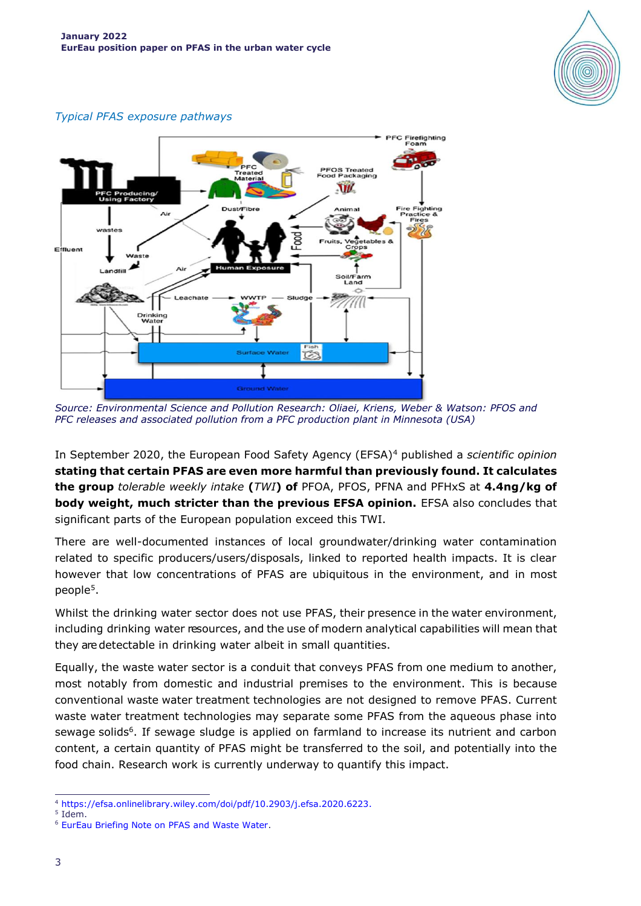

#### *Typical PFAS exposure pathways*



*Source: Environmental Science and Pollution Research: Oliaei, Kriens, Weber & Watson: PFOS and PFC releases and associated pollution from a PFC production plant in Minnesota (USA)*

In September 2020, the European Food Safety Agency (EFSA)<sup>4</sup> published a *scientific opinion* **stating that certain PFAS are even more harmful than previously found. It calculates the group** *tolerable weekly intake* **(***TWI***) of** PFOA, PFOS, PFNA and PFHxS at **4.4ng/kg of body weight, much stricter than the previous EFSA opinion.** EFSA also concludes that significant parts of the European population exceed this TWI.

There are well-documented instances of local groundwater/drinking water contamination related to specific producers/users/disposals, linked to reported health impacts. It is clear however that low concentrations of PFAS are ubiquitous in the environment, and in most people<sup>5</sup> .

Whilst the drinking water sector does not use PFAS, their presence in the water environment, including drinking water resources, and the use of modern analytical capabilities will mean that they aredetectable in drinking water albeit in small quantities.

Equally, the waste water sector is a conduit that conveys PFAS from one medium to another, most notably from domestic and industrial premises to the environment. This is because conventional waste water treatment technologies are not designed to remove PFAS. Current waste water treatment technologies may separate some PFAS from the aqueous phase into sewage solids<sup>6</sup>. If sewage sludge is applied on farmland to increase its nutrient and carbon content, a certain quantity of PFAS might be transferred to the soil, and potentially into the food chain. Research work is currently underway to quantify this impact.

5 Idem.

ł

<sup>4</sup> [https://efsa.onlinelibrary.wiley.com/doi/pdf/10.2903/j.efsa.2020.6223.](https://efsa.onlinelibrary.wiley.com/doi/pdf/10.2903/j.efsa.2020.6223)

<sup>6</sup> [EurEau Briefing Note on PFAS and Waste Water.](https://www.eureau.org/resources/briefing-notes/5612-briefing-note-on-pfas-and-waste-water/file)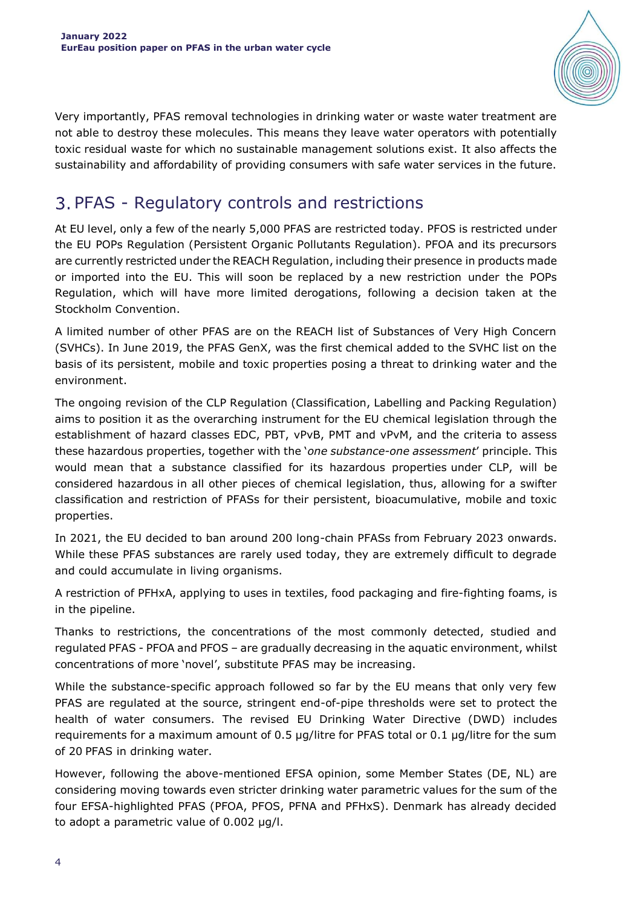

Very importantly, PFAS removal technologies in drinking water or waste water treatment are not able to destroy these molecules. This means they leave water operators with potentially toxic residual waste for which no sustainable management solutions exist. It also affects the sustainability and affordability of providing consumers with safe water services in the future.

# 3. PFAS - Regulatory controls and restrictions

At EU level, only a few of the nearly 5,000 PFAS are restricted today. PFOS is restricted under the EU POPs Regulation (Persistent Organic Pollutants Regulation). PFOA and its precursors are currently restricted under the REACH Regulation, including their presence in products made or imported into the EU. This will soon be replaced by a new restriction under the POPs Regulation, which will have more limited derogations, following a decision taken at the Stockholm Convention.

A limited number of other PFAS are on the REACH list of Substances of Very High Concern (SVHCs). In June 2019, the PFAS GenX, was the first chemical added to the SVHC list on the basis of its persistent, mobile and toxic properties posing a threat to drinking water and the environment.

The ongoing revision of the CLP Regulation (Classification, Labelling and Packing Regulation) aims to position it as the overarching instrument for the EU chemical legislation through the establishment of hazard classes EDC, PBT, vPvB, PMT and vPvM, and the criteria to assess these hazardous properties, together with the '*one substance-one assessment*' principle. This would mean that a substance classified for its hazardous properties under CLP, will be considered hazardous in all other pieces of chemical legislation, thus, allowing for a swifter classification and restriction of PFASs for their persistent, bioacumulative, mobile and toxic properties.

In 2021, the EU decided to ban around 200 long-chain PFASs from February 2023 onwards. While these PFAS substances are rarely used today, they are extremely difficult to degrade and could accumulate in living organisms.

A restriction of PFHxA, applying to uses in textiles, food packaging and fire-fighting foams, is in the pipeline.

Thanks to restrictions, the concentrations of the most commonly detected, studied and regulated PFAS - PFOA and PFOS – are gradually decreasing in the aquatic environment, whilst concentrations of more 'novel', substitute PFAS may be increasing.

While the substance-specific approach followed so far by the EU means that only very few PFAS are regulated at the source, stringent end-of-pipe thresholds were set to protect the health of water consumers. The revised EU Drinking Water Directive (DWD) includes requirements for a maximum amount of 0.5 µg/litre for PFAS total or 0.1 µg/litre for the sum of 20 PFAS in drinking water.

However, following the above-mentioned EFSA opinion, some Member States (DE, NL) are considering moving towards even stricter drinking water parametric values for the sum of the four EFSA-highlighted PFAS (PFOA, PFOS, PFNA and PFHxS). Denmark has already decided to adopt a parametric value of 0.002 µg/l.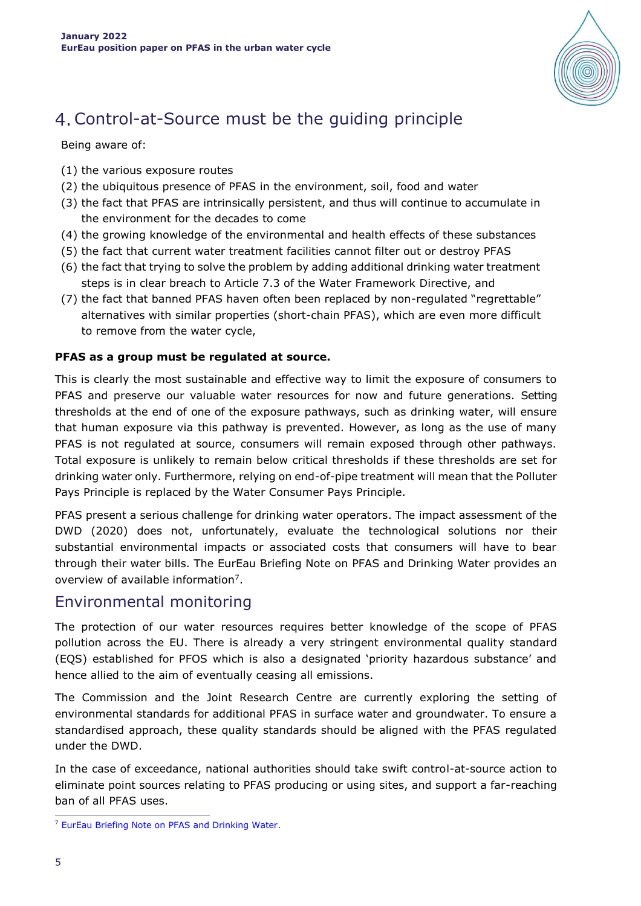

# Control-at-Source must be the guiding principle

Being aware of:

- (1) the various exposure routes
- (2) the ubiquitous presence of PFAS in the environment, soil, food and water
- (3) the fact that PFAS are intrinsically persistent, and thus will continue to accumulate in the environment for the decades to come
- (4) the growing knowledge of the environmental and health effects of these substances
- (5) the fact that current water treatment facilities cannot filter out or destroy PFAS
- (6) the fact that trying to solve the problem by adding additional drinking water treatment steps is in clear breach to Article 7.3 of the Water Framework Directive, and
- (7) the fact that banned PFAS haven often been replaced by non-regulated "regrettable" alternatives with similar properties (short-chain PFAS), which are even more difficult to remove from the water cycle,

#### **PFAS as a group must be regulated at source.**

This is clearly the most sustainable and effective way to limit the exposure of consumers to PFAS and preserve our valuable water resources for now and future generations. Setting thresholds at the end of one of the exposure pathways, such as drinking water, will ensure that human exposure via this pathway is prevented. However, as long as the use of many PFAS is not regulated at source, consumers will remain exposed through other pathways. Total exposure is unlikely to remain below critical thresholds if these thresholds are set for drinking water only. Furthermore, relying on end-of-pipe treatment will mean that the Polluter Pays Principle is replaced by the Water Consumer Pays Principle.

PFAS present a serious challenge for drinking water operators. The impact assessment of the DWD (2020) does not, unfortunately, evaluate the technological solutions nor their substantial environmental impacts or associated costs that consumers will have to bear through their water bills. The EurEau Briefing Note on PFAS and Drinking Water provides an overview of available information<sup>7</sup>.

#### Environmental monitoring

The protection of our water resources requires better knowledge of the scope of PFAS pollution across the EU. There is already a very stringent environmental quality standard (EQS) established for PFOS which is also a designated 'priority hazardous substance' and hence allied to the aim of eventually ceasing all emissions.

The Commission and the Joint Research Centre are currently exploring the setting of environmental standards for additional PFAS in surface water and groundwater. To ensure a standardised approach, these quality standards should be aligned with the PFAS regulated under the DWD.

In the case of exceedance, national authorities should take swift control-at-source action to eliminate point sources relating to PFAS producing or using sites, and support a far-reaching ban of all PFAS uses.

<sup>1</sup> <sup>7</sup> [EurEau Briefing Note on PFAS and Drinking Water.](https://www.eureau.org/resources/briefing-notes/5236-briefing-note-on-pfas-and-drinking-water/file)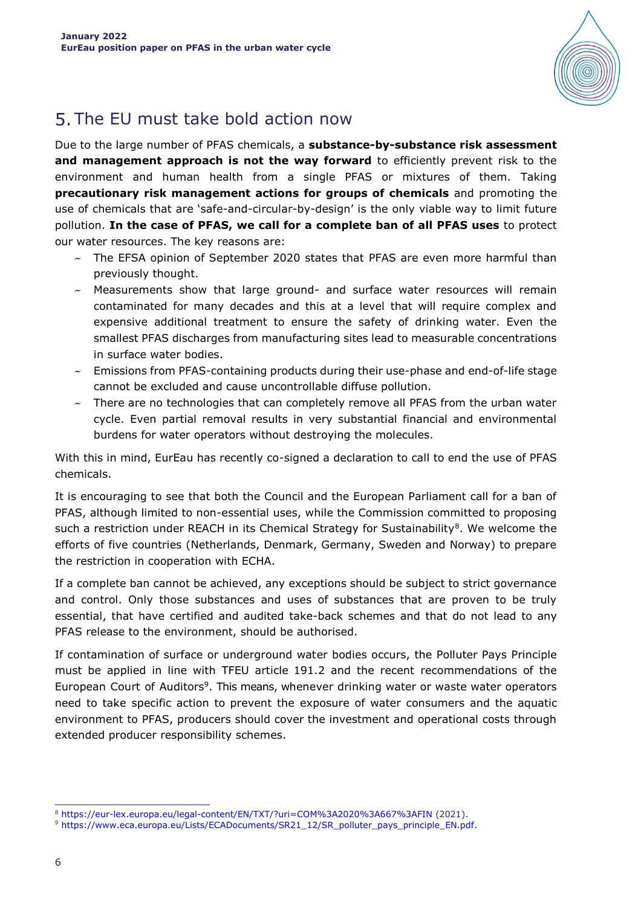

# 5. The EU must take bold action now

Due to the large number of PFAS chemicals, a **substance-by-substance risk assessment and management approach is not the way forward** to efficiently prevent risk to the environment and human health from a single PFAS or mixtures of them. Taking **precautionary risk management actions for groups of chemicals** and promoting the use of chemicals that are 'safe-and-circular-by-design' is the only viable way to limit future pollution. **In the case of PFAS, we call for a complete ban of all PFAS uses** to protect our water resources. The key reasons are:

- $\sim$  The EFSA opinion of September 2020 states that PFAS are even more harmful than previously thought.
- $\sim$  Measurements show that large ground- and surface water resources will remain contaminated for many decades and this at a level that will require complex and expensive additional treatment to ensure the safety of drinking water. Even the smallest PFAS discharges from manufacturing sites lead to measurable concentrations in surface water bodies.
- $\sim$  Emissions from PFAS-containing products during their use-phase and end-of-life stage cannot be excluded and cause uncontrollable diffuse pollution.
- $\sim$  There are no technologies that can completely remove all PFAS from the urban water cycle. Even partial removal results in very substantial financial and environmental burdens for water operators without destroying the molecules.

With this in mind, EurEau has recently co-signed a [declaration](http://www.eureau.org/resources/news/405-h-m-coop-denmark-join-ngo-chemsec-in-call-to-end-the-use-of-pfas-chemicals) to call to end the use of PFAS chemicals.

It is encouraging to see that both the Council and the European Parliament call for a ban of PFAS, although limited to non-essential uses, while the Commission committed to proposing such a restriction under REACH in its Chemical Strategy for Sustainability $^8$ . We welcome the efforts of five countries (Netherlands, Denmark, Germany, Sweden and Norway) to prepare the restriction in cooperation with ECHA.

If a complete ban cannot be achieved, any exceptions should be subject to strict governance and control. Only those substances and uses of substances that are proven to be truly essential, that have certified and audited take-back schemes and that do not lead to any PFAS release to the environment, should be authorised.

If contamination of surface or underground water bodies occurs, the Polluter Pays Principle must be applied in line with TFEU article 191.2 and the recent recommendations of the European Court of Auditors<sup>9</sup>. This means, whenever drinking water or waste water operators need to take specific action to prevent the exposure of water consumers and the aquatic environment to PFAS, producers should cover the investment and operational costs through extended producer responsibility schemes.

<sup>1</sup> <sup>8</sup> <https://eur-lex.europa.eu/legal-content/EN/TXT/?uri=COM%3A2020%3A667%3AFIN> (2021).

<sup>9</sup> https://www.eca.europa.eu/Lists/ECADocuments/SR21\_12/SR\_polluter\_pays\_principle\_EN.pdf.